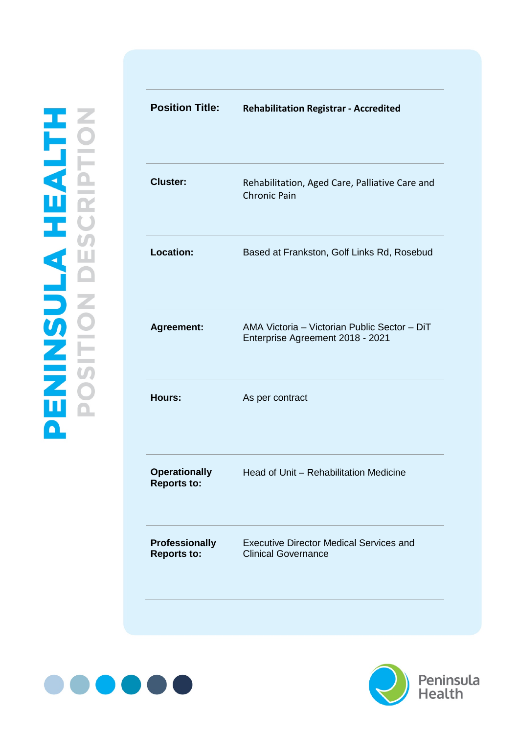| <b>Position Title:</b>                      | <b>Rehabilitation Registrar - Accredited</b>                                     |
|---------------------------------------------|----------------------------------------------------------------------------------|
| <b>Cluster:</b>                             | Rehabilitation, Aged Care, Palliative Care and<br><b>Chronic Pain</b>            |
| <b>Location:</b>                            | Based at Frankston, Golf Links Rd, Rosebud                                       |
| <b>Agreement:</b>                           | AMA Victoria - Victorian Public Sector - DiT<br>Enterprise Agreement 2018 - 2021 |
| Hours:                                      | As per contract                                                                  |
| <b>Operationally</b><br><b>Reports to:</b>  | Head of Unit - Rehabilitation Medicine                                           |
| <b>Professionally</b><br><b>Reports to:</b> | <b>Executive Director Medical Services and</b><br><b>Clinical Governance</b>     |
|                                             |                                                                                  |



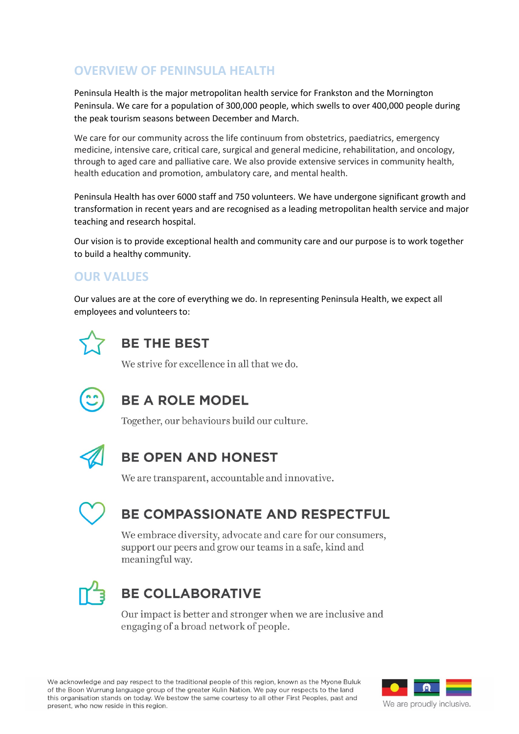## **OVERVIEW OF PENINSULA HEALTH**

Peninsula Health is the major metropolitan health service for Frankston and the Mornington Peninsula. We care for a population of 300,000 people, which swells to over 400,000 people during the peak tourism seasons between December and March.

We care for our community across the life continuum from obstetrics, paediatrics, emergency medicine, intensive care, critical care, surgical and general medicine, rehabilitation, and oncology, through to aged care and palliative care. We also provide extensive services in community health, health education and promotion, ambulatory care, and mental health.

Peninsula Health has over 6000 staff and 750 volunteers. We have undergone significant growth and transformation in recent years and are recognised as a leading metropolitan health service and major teaching and research hospital.

Our vision is to provide exceptional health and community care and our purpose is to work together to build a healthy community.

## **OUR VALUES**

Our values are at the core of everything we do. In representing Peninsula Health, we expect all employees and volunteers to:



# **BE THE BEST**

We strive for excellence in all that we do.



# **BE A ROLE MODEL**

Together, our behaviours build our culture.



## **BE OPEN AND HONEST**

We are transparent, accountable and innovative.



# BE COMPASSIONATE AND RESPECTFUL

We embrace diversity, advocate and care for our consumers, support our peers and grow our teams in a safe, kind and meaningful way.



# **BE COLLABORATIVE**

Our impact is better and stronger when we are inclusive and engaging of a broad network of people.

We acknowledge and pay respect to the traditional people of this region, known as the Myone Buluk of the Boon Wurrung language group of the greater Kulin Nation. We pay our respects to the land this organisation stands on today. We bestow the same courtesy to all other First Peoples, past and present, who now reside in this region.

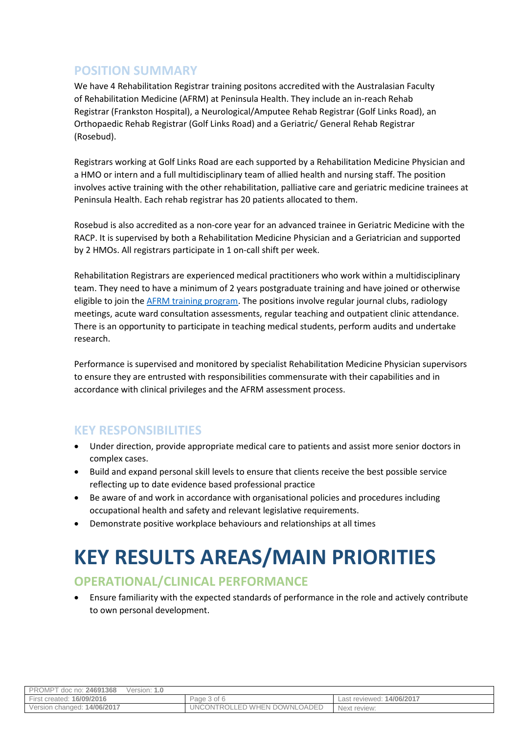## **POSITION SUMMARY**

We have 4 Rehabilitation Registrar training positons accredited with the Australasian Faculty of Rehabilitation Medicine (AFRM) at Peninsula Health. They include an in-reach Rehab Registrar (Frankston Hospital), a Neurological/Amputee Rehab Registrar (Golf Links Road), an Orthopaedic Rehab Registrar (Golf Links Road) and a Geriatric/ General Rehab Registrar (Rosebud).

Registrars working at Golf Links Road are each supported by a Rehabilitation Medicine Physician and a HMO or intern and a full multidisciplinary team of allied health and nursing staff. The position involves active training with the other rehabilitation, palliative care and geriatric medicine trainees at Peninsula Health. Each rehab registrar has 20 patients allocated to them.

Rosebud is also accredited as a non-core year for an advanced trainee in Geriatric Medicine with the RACP. It is supervised by both a Rehabilitation Medicine Physician and a Geriatrician and supported by 2 HMOs. All registrars participate in 1 on-call shift per week.

Rehabilitation Registrars are experienced medical practitioners who work within a multidisciplinary team. They need to have a minimum of 2 years postgraduate training and have joined or otherwise eligible to join the [AFRM training program.](https://www.racp.edu.au/about/college-structure/australasian-faculty-of-rehabilitation-medicine) The positions involve regular journal clubs, radiology meetings, acute ward consultation assessments, regular teaching and outpatient clinic attendance. There is an opportunity to participate in teaching medical students, perform audits and undertake research.

Performance is supervised and monitored by specialist Rehabilitation Medicine Physician supervisors to ensure they are entrusted with responsibilities commensurate with their capabilities and in accordance with clinical privileges and the AFRM assessment process.

#### **KEY RESPONSIBILITIES**

- Under direction, provide appropriate medical care to patients and assist more senior doctors in complex cases.
- Build and expand personal skill levels to ensure that clients receive the best possible service reflecting up to date evidence based professional practice
- Be aware of and work in accordance with organisational policies and procedures including occupational health and safety and relevant legislative requirements.
- Demonstrate positive workplace behaviours and relationships at all times

# **KEY RESULTS AREAS/MAIN PRIORITIES**

### **OPERATIONAL/CLINICAL PERFORMANCE**

• Ensure familiarity with the expected standards of performance in the role and actively contribute to own personal development.

| PROMPT doc no: 24691368     | Version: 1.0 |                              |                           |
|-----------------------------|--------------|------------------------------|---------------------------|
| First created: 16/09/2016   |              | Page 3 of 6                  | Last reviewed: 14/06/2017 |
| Version changed: 14/06/2017 |              | UNCONTROLLED WHEN DOWNLOADED | Next review:              |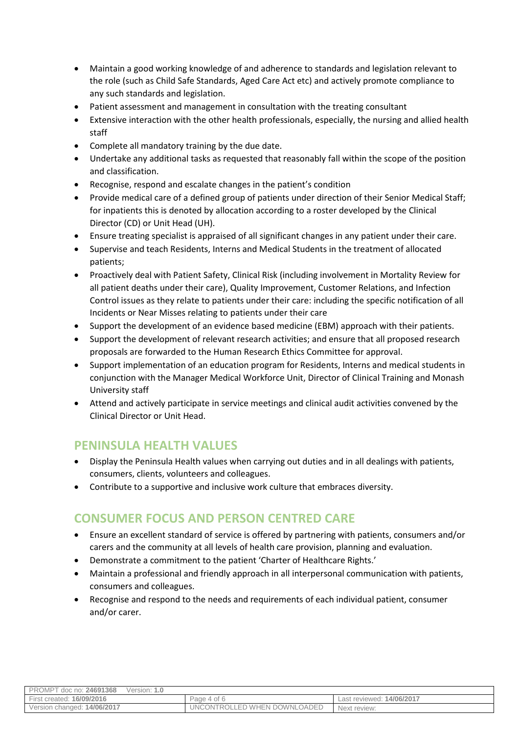- Maintain a good working knowledge of and adherence to standards and legislation relevant to the role (such as Child Safe Standards, Aged Care Act etc) and actively promote compliance to any such standards and legislation.
- Patient assessment and management in consultation with the treating consultant
- Extensive interaction with the other health professionals, especially, the nursing and allied health staff
- Complete all mandatory training by the due date.
- Undertake any additional tasks as requested that reasonably fall within the scope of the position and classification.
- Recognise, respond and escalate changes in the patient's condition
- Provide medical care of a defined group of patients under direction of their Senior Medical Staff; for inpatients this is denoted by allocation according to a roster developed by the Clinical Director (CD) or Unit Head (UH).
- Ensure treating specialist is appraised of all significant changes in any patient under their care.
- Supervise and teach Residents, Interns and Medical Students in the treatment of allocated patients;
- Proactively deal with Patient Safety, Clinical Risk (including involvement in Mortality Review for all patient deaths under their care), Quality Improvement, Customer Relations, and Infection Control issues as they relate to patients under their care: including the specific notification of all Incidents or Near Misses relating to patients under their care
- Support the development of an evidence based medicine (EBM) approach with their patients.
- Support the development of relevant research activities; and ensure that all proposed research proposals are forwarded to the Human Research Ethics Committee for approval.
- Support implementation of an education program for Residents, Interns and medical students in conjunction with the Manager Medical Workforce Unit, Director of Clinical Training and Monash University staff
- Attend and actively participate in service meetings and clinical audit activities convened by the Clinical Director or Unit Head.

#### **PENINSULA HEALTH VALUES**

- Display the Peninsula Health values when carrying out duties and in all dealings with patients, consumers, clients, volunteers and colleagues.
- Contribute to a supportive and inclusive work culture that embraces diversity.

#### **CONSUMER FOCUS AND PERSON CENTRED CARE**

- Ensure an excellent standard of service is offered by partnering with patients, consumers and/or carers and the community at all levels of health care provision, planning and evaluation.
- Demonstrate a commitment to the patient 'Charter of Healthcare Rights.'
- Maintain a professional and friendly approach in all interpersonal communication with patients, consumers and colleagues.
- Recognise and respond to the needs and requirements of each individual patient, consumer and/or carer.

| PROMPT doc no: 24691368<br>Version: 1.0 |                              |                           |
|-----------------------------------------|------------------------------|---------------------------|
| <b>First created: 16/09/2016</b>        | Page 4 of 6                  | Last reviewed: 14/06/2017 |
| Version changed: 14/06/2017             | UNCONTROLLED WHEN DOWNLOADED | Next review:              |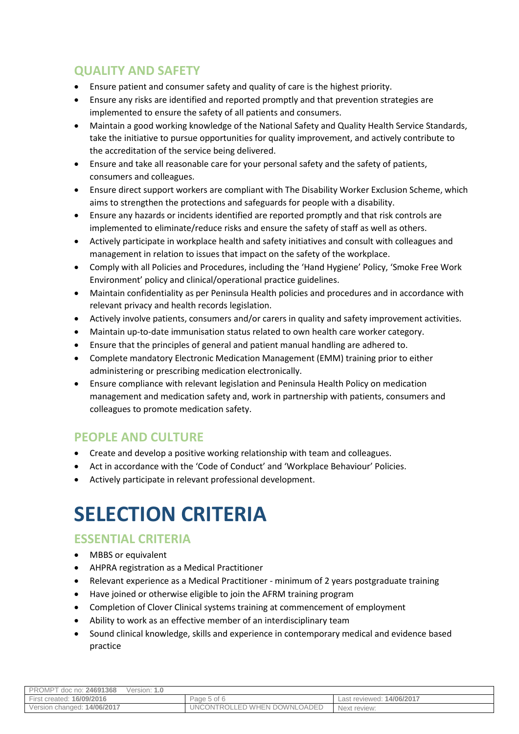## **QUALITY AND SAFETY**

- Ensure patient and consumer safety and quality of care is the highest priority.
- Ensure any risks are identified and reported promptly and that prevention strategies are implemented to ensure the safety of all patients and consumers.
- Maintain a good working knowledge of the National Safety and Quality Health Service Standards, take the initiative to pursue opportunities for quality improvement, and actively contribute to the accreditation of the service being delivered.
- Ensure and take all reasonable care for your personal safety and the safety of patients, consumers and colleagues.
- Ensure direct support workers are compliant with The Disability Worker Exclusion Scheme, which aims to strengthen the protections and safeguards for people with a disability.
- Ensure any hazards or incidents identified are reported promptly and that risk controls are implemented to eliminate/reduce risks and ensure the safety of staff as well as others.
- Actively participate in workplace health and safety initiatives and consult with colleagues and management in relation to issues that impact on the safety of the workplace.
- Comply with all Policies and Procedures, including the 'Hand Hygiene' Policy, 'Smoke Free Work Environment' policy and clinical/operational practice guidelines.
- Maintain confidentiality as per Peninsula Health policies and procedures and in accordance with relevant privacy and health records legislation.
- Actively involve patients, consumers and/or carers in quality and safety improvement activities.
- Maintain up-to-date immunisation status related to own health care worker category.
- Ensure that the principles of general and patient manual handling are adhered to.
- Complete mandatory Electronic Medication Management (EMM) training prior to either administering or prescribing medication electronically.
- Ensure compliance with relevant legislation and Peninsula Health Policy on medication management and medication safety and, work in partnership with patients, consumers and colleagues to promote medication safety.

### **PEOPLE AND CULTURE**

- Create and develop a positive working relationship with team and colleagues.
- Act in accordance with the 'Code of Conduct' and 'Workplace Behaviour' Policies.
- Actively participate in relevant professional development.

# **SELECTION CRITERIA**

### **ESSENTIAL CRITERIA**

- MBBS or equivalent
- AHPRA registration as a Medical Practitioner
- Relevant experience as a Medical Practitioner minimum of 2 years postgraduate training
- Have joined or otherwise eligible to join the AFRM training program
- Completion of Clover Clinical systems training at commencement of employment
- Ability to work as an effective member of an interdisciplinary team
- Sound clinical knowledge, skills and experience in contemporary medical and evidence based practice

| PROMPT d<br>doc no: <b>24691368</b><br>Version: <b>1.0</b> |                                    |                                |
|------------------------------------------------------------|------------------------------------|--------------------------------|
| First created: 16/09/2016                                  | Page 5 of 6                        | t reviewed: 14/06/2017<br>Last |
| Version changed: 14/06/2017                                | .OADED<br>UNCONTROLLED WHEN DOWNLO | Next review:                   |